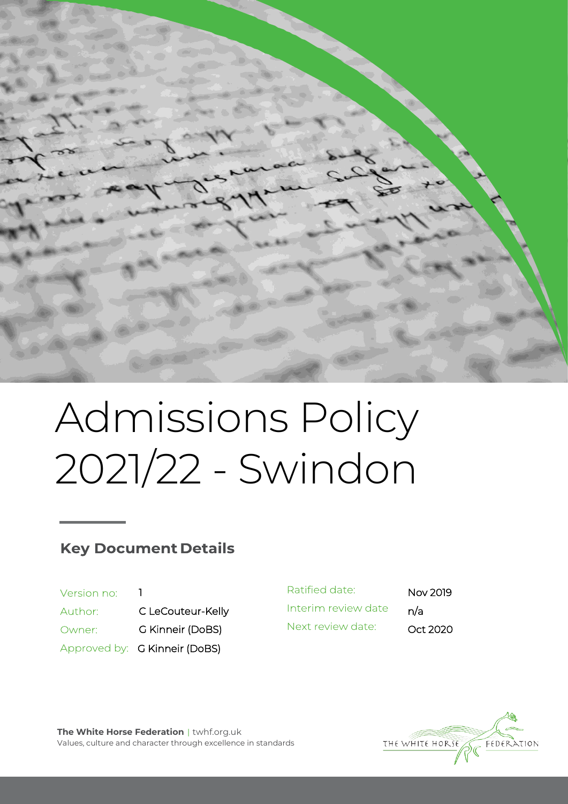

# Admissions Policy 2021/22 - Swindon

# **Key Document Details**

| Version no: |                               |
|-------------|-------------------------------|
| Author:     | C LeCouteur-Kelly             |
| Owner:      | G Kinneir (DoBS)              |
|             | Approved by: G Kinneir (DoBS) |

Ratified date: Nov 2019 Interim review date n/a Next review date: Oct 2020



**The White Horse Federation** | twhf.org.uk Values, culture and character through excellence in standards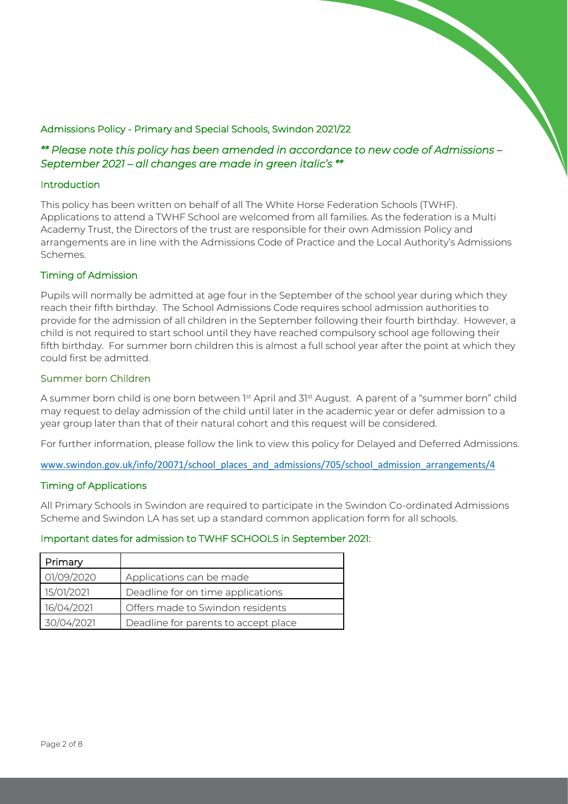# Admissions Policy - Primary and Special Schools, Swindon 2021/22

# *\*\* Please note this policy has been amended in accordance to new code of Admissions – September 2021 – all changes are made in green italic's \*\**

#### Introduction

This policy has been written on behalf of all The White Horse Federation Schools (TWHF). Applications to attend a TWHF School are welcomed from all families. As the federation is a Multi Academy Trust, the Directors of the trust are responsible for their own Admission Policy and arrangements are in line with the Admissions Code of Practice and the Local Authority's Admissions Schemes.

#### Timing of Admission

Pupils will normally be admitted at age four in the September of the school year during which they reach their fifth birthday. The School Admissions Code requires school admission authorities to provide for the admission of all children in the September following their fourth birthday. However, a child is not required to start school until they have reached compulsory school age following their fifth birthday. For summer born children this is almost a full school year after the point at which they could first be admitted.

#### Summer born Children

A summer born child is one born between 1st April and 31st August. A parent of a "summer born" child may request to delay admission of the child until later in the academic year or defer admission to a year group later than that of their natural cohort and this request will be considered.

For further information, please follow the link to view this policy for Delayed and Deferred Admissions.

[www.swindon.gov.uk/info/20071/school\\_places\\_and\\_admissions/705/school\\_admission\\_arrangements/4](http://www.swindon.gov.uk/info/20071/school_places_and_admissions/705/school_admission_arrangements/4)

#### Timing of Applications

All Primary Schools in Swindon are required to participate in the Swindon Co-ordinated Admissions Scheme and Swindon LA has set up a standard common application form for all schools.

# Important dates for admission to TWHF SCHOOLS in September 2021:

| Primary    |                                      |
|------------|--------------------------------------|
| 01/09/2020 | Applications can be made             |
| 15/01/2021 | Deadline for on time applications    |
| 16/04/2021 | Offers made to Swindon residents     |
| 30/04/2021 | Deadline for parents to accept place |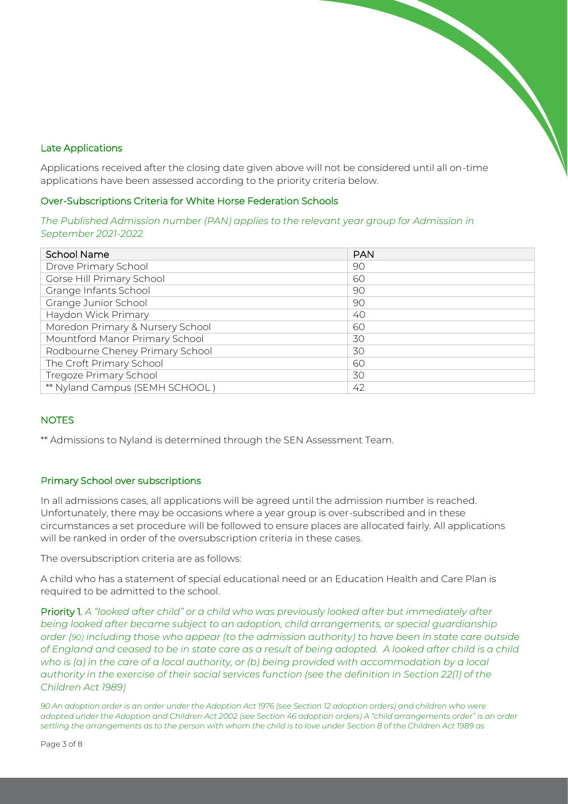# Late Applications

Applications received after the closing date given above will not be considered until all on-time applications have been assessed according to the priority criteria below.

#### Over-Subscriptions Criteria for White Horse Federation Schools

*The Published Admission number (PAN) applies to the relevant year group for Admission in September 2021-2022*

| <b>School Name</b>               | <b>PAN</b> |
|----------------------------------|------------|
| Drove Primary School             | 90         |
| Gorse Hill Primary School        | 60         |
| Grange Infants School            | 90         |
| Grange Junior School             | 90         |
| Haydon Wick Primary              | 40         |
| Moredon Primary & Nursery School | 60         |
| Mountford Manor Primary School   | 30         |
| Rodbourne Cheney Primary School  | 30         |
| The Croft Primary School         | 60         |
| <b>Tregoze Primary School</b>    | 30         |
| ** Nyland Campus (SEMH SCHOOL)   | 42         |

# **NOTES**

\*\* Admissions to Nyland is determined through the SEN Assessment Team.

# Primary School over subscriptions

In all admissions cases, all applications will be agreed until the admission number is reached. Unfortunately, there may be occasions where a year group is over-subscribed and in these circumstances a set procedure will be followed to ensure places are allocated fairly. All applications will be ranked in order of the oversubscription criteria in these cases.

The oversubscription criteria are as follows:

A child who has a statement of special educational need or an Education Health and Care Plan is required to be admitted to the school.

Priority 1*. A "looked after child" or a child who was previously looked after but immediately after being looked after became subject to an adoption, child arrangements, or special guardianship order (90) including those who appear (to the admission authority) to have been in state care outside*  of England and ceased to be in state care as a result of being adopted. A looked after child is a child *who is (a) in the care of a local authority, or (b) being provided with accommodation by a local authority in the exercise of their social services function (see the definition in Section 22(1) of the Children Act 1989)*

*90 An adoption order is an order under the Adoption Act 1976 (see Section 12 adoption orders) and children who were adopted under the Adoption and Children Act 2002 (see Section 46 adoption orders) A "child arrangements order" is an order settling the arrangements as to the person with whom the child is to love under Section 8 of the Children Act 1989 as*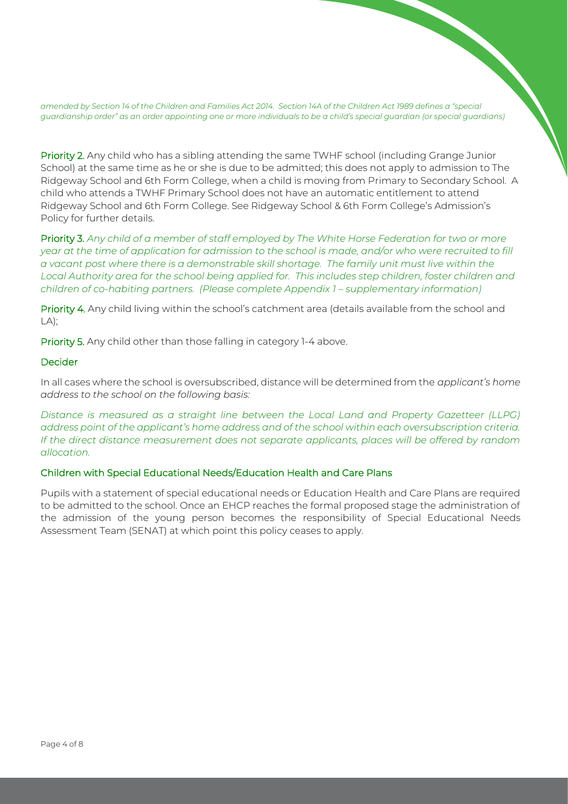*amended by Section 14 of the Children and Families Act 2014. Section 14A of the Children Act 1989 defines a "special guardianship order" as an order appointing one or more individuals to be a child's special guardian (or special guardians)*

Priority 2. Any child who has a sibling attending the same TWHF school (including Grange Junior School) at the same time as he or she is due to be admitted; this does not apply to admission to The Ridgeway School and 6th Form College, when a child is moving from Primary to Secondary School. A child who attends a TWHF Primary School does not have an automatic entitlement to attend Ridgeway School and 6th Form College. See Ridgeway School & 6th Form College's Admission's Policy for further details.

Priority 3. *Any child of a member of staff employed by The White Horse Federation for two or more year at the time of application for admission to the school is made, and/or who were recruited to fill a vacant post where there is a demonstrable skill shortage. The family unit must live within the Local Authority area for the school being applied for. This includes step children, foster children and children of co-habiting partners. (Please complete Appendix 1 – supplementary information)* 

Priority 4. Any child living within the school's catchment area (details available from the school and LA);

Priority 5. Any child other than those falling in category 1-4 above.

#### **Decider**

In all cases where the school is oversubscribed, distance will be determined from the *applicant's home address to the school on the following basis:*

*Distance is measured as a straight line between the Local Land and Property Gazetteer (LLPG) address point of the applicant's home address and of the school within each oversubscription criteria. If the direct distance measurement does not separate applicants, places will be offered by random allocation.*

#### Children with Special Educational Needs/Education Health and Care Plans

Pupils with a statement of special educational needs or Education Health and Care Plans are required to be admitted to the school. Once an EHCP reaches the formal proposed stage the administration of the admission of the young person becomes the responsibility of Special Educational Needs Assessment Team (SENAT) at which point this policy ceases to apply.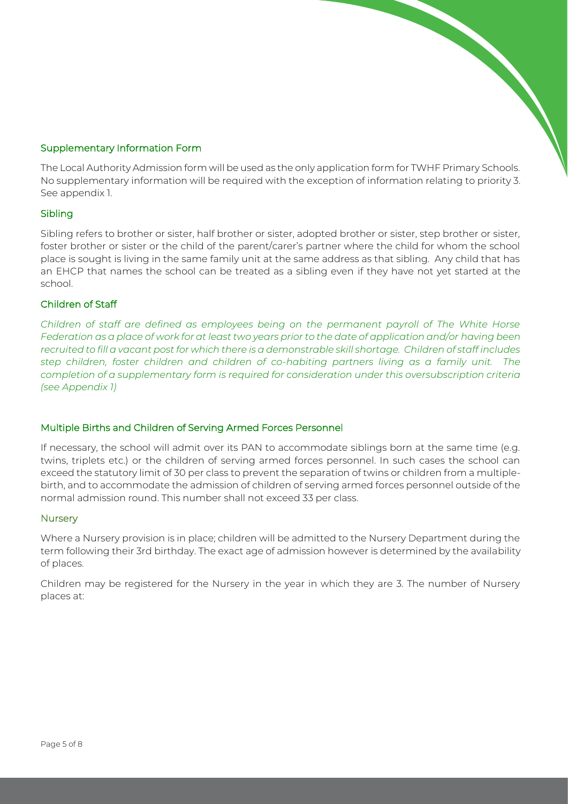# Supplementary Information Form

The Local Authority Admission form will be used as the only application form for TWHF Primary Schools. No supplementary information will be required with the exception of information relating to priority 3. See appendix 1.

# Sibling

Sibling refers to brother or sister, half brother or sister, adopted brother or sister, step brother or sister, foster brother or sister or the child of the parent/carer's partner where the child for whom the school place is sought is living in the same family unit at the same address as that sibling. Any child that has an EHCP that names the school can be treated as a sibling even if they have not yet started at the school.

#### Children of Staff

*Children of staff are defined as employees being on the permanent payroll of The White Horse Federation as a place of work for at least two years prior to the date of application and/or having been recruited to fill a vacant post for which there is a demonstrable skill shortage. Children of staff includes step children, foster children and children of co-habiting partners living as a family unit. The completion of a supplementary form is required for consideration under this oversubscription criteria (see Appendix 1)*

# Multiple Births and Children of Serving Armed Forces Personnel

If necessary, the school will admit over its PAN to accommodate siblings born at the same time (e.g. twins, triplets etc.) or the children of serving armed forces personnel. In such cases the school can exceed the statutory limit of 30 per class to prevent the separation of twins or children from a multiplebirth, and to accommodate the admission of children of serving armed forces personnel outside of the normal admission round. This number shall not exceed 33 per class.

#### **Nurserv**

Where a Nursery provision is in place; children will be admitted to the Nursery Department during the term following their 3rd birthday. The exact age of admission however is determined by the availability of places.

Children may be registered for the Nursery in the year in which they are 3. The number of Nursery places at: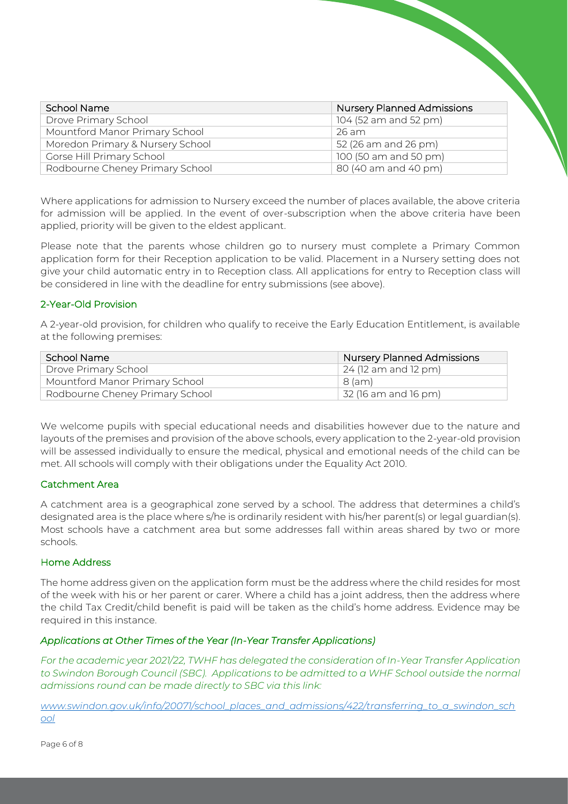| School Name                      | <b>Nursery Planned Admissions</b> |
|----------------------------------|-----------------------------------|
| Drove Primary School             | 104 (52 am and 52 pm)             |
| Mountford Manor Primary School   | 26 am                             |
| Moredon Primary & Nursery School | 52 (26 am and 26 pm)              |
| Gorse Hill Primary School        | 100 (50 am and 50 pm)             |
| Rodbourne Cheney Primary School  | 80 (40 am and 40 pm)              |

Where applications for admission to Nursery exceed the number of places available, the above criteria for admission will be applied. In the event of over-subscription when the above criteria have been applied, priority will be given to the eldest applicant.

Please note that the parents whose children go to nursery must complete a Primary Common application form for their Reception application to be valid. Placement in a Nursery setting does not give your child automatic entry in to Reception class. All applications for entry to Reception class will be considered in line with the deadline for entry submissions (see above).

# 2-Year-Old Provision

A 2-year-old provision, for children who qualify to receive the Early Education Entitlement, is available at the following premises:

| School Name                     | Nursery Planned Admissions   |
|---------------------------------|------------------------------|
| Drove Primary School            | $\vert$ 24 (12 am and 12 pm) |
| Mountford Manor Primary School  | 8 (am)                       |
| Rodbourne Cheney Primary School | $\vert$ 32 (16 am and 16 pm) |

We welcome pupils with special educational needs and disabilities however due to the nature and layouts of the premises and provision of the above schools, every application to the 2-year-old provision will be assessed individually to ensure the medical, physical and emotional needs of the child can be met. All schools will comply with their obligations under the Equality Act 2010.

# Catchment Area

A catchment area is a geographical zone served by a school. The address that determines a child's designated area is the place where s/he is ordinarily resident with his/her parent(s) or legal guardian(s). Most schools have a catchment area but some addresses fall within areas shared by two or more schools.

# Home Address

The home address given on the application form must be the address where the child resides for most of the week with his or her parent or carer. Where a child has a joint address, then the address where the child Tax Credit/child benefit is paid will be taken as the child's home address. Evidence may be required in this instance.

# *Applications at Other Times of the Year (In-Year Transfer Applications)*

*For the academic year 2021/22, TWHF has delegated the consideration of In-Year Transfer Application to Swindon Borough Council (SBC). Applications to be admitted to a WHF School outside the normal admissions round can be made directly to SBC via this link:* 

*[www.swindon.gov.uk/info/20071/school\\_places\\_and\\_admissions/422/transferring\\_to\\_a\\_swindon\\_sch](http://www.swindon.gov.uk/info/20071/school_places_and_admissions/422/transferring_to_a_swindon_school) [ool](http://www.swindon.gov.uk/info/20071/school_places_and_admissions/422/transferring_to_a_swindon_school)*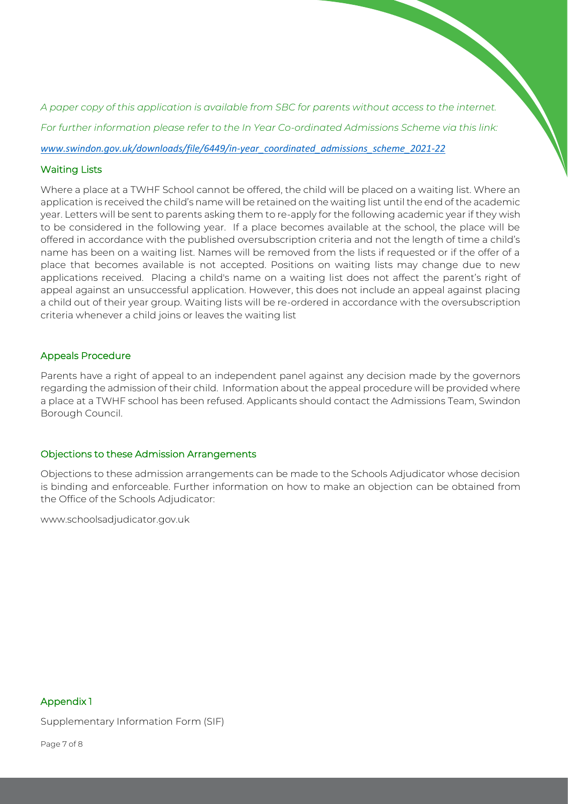*A paper copy of this application is available from SBC for parents without access to the internet. For further information please refer to the In Year Co-ordinated Admissions Scheme via this link:* 

*[www.swindon.gov.uk/downloads/file/6449/in-year\\_coordinated\\_admissions\\_scheme\\_2021-22](http://www.swindon.gov.uk/downloads/file/6449/in-year_coordinated_admissions_scheme_2021-22)*

#### Waiting Lists

Where a place at a TWHF School cannot be offered, the child will be placed on a waiting list. Where an application is received the child's name will be retained on the waiting list until the end of the academic year. Letters will be sent to parents asking them to re-apply for the following academic year if they wish to be considered in the following year. If a place becomes available at the school, the place will be offered in accordance with the published oversubscription criteria and not the length of time a child's name has been on a waiting list. Names will be removed from the lists if requested or if the offer of a place that becomes available is not accepted. Positions on waiting lists may change due to new applications received. Placing a child's name on a waiting list does not affect the parent's right of appeal against an unsuccessful application. However, this does not include an appeal against placing a child out of their year group. Waiting lists will be re-ordered in accordance with the oversubscription criteria whenever a child joins or leaves the waiting list

#### Appeals Procedure

Parents have a right of appeal to an independent panel against any decision made by the governors regarding the admission of their child. Information about the appeal procedure will be provided where a place at a TWHF school has been refused. Applicants should contact the Admissions Team, Swindon Borough Council.

#### Objections to these Admission Arrangements

Objections to these admission arrangements can be made to the Schools Adjudicator whose decision is binding and enforceable. Further information on how to make an objection can be obtained from the Office of the Schools Adjudicator:

www.schoolsadjudicator.gov.uk

#### Appendix 1

Supplementary Information Form (SIF)

Page 7 of 8